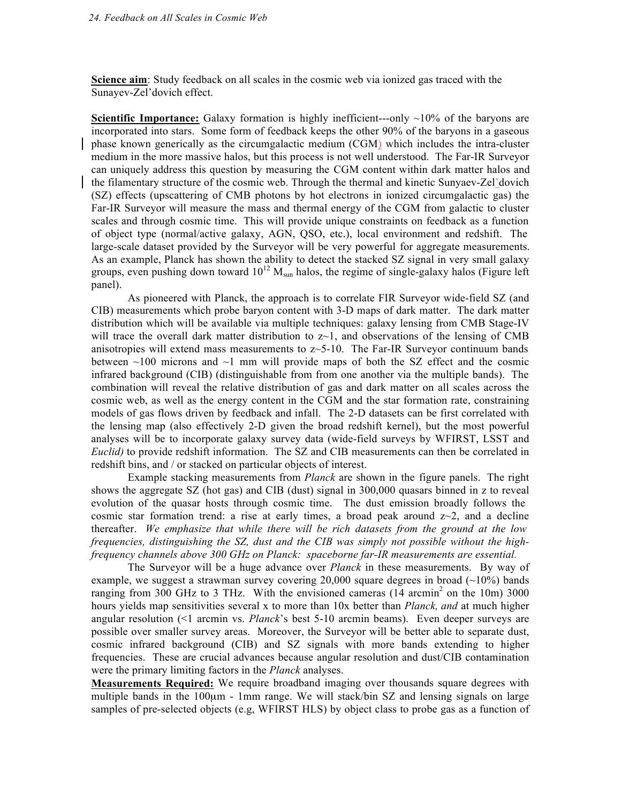**Science aim**: Study feedback on all scales in the cosmic web via ionized gas traced with the Sunayev-Zel'dovich effect.

**Scientific Importance:** Galaxy formation is highly inefficient---only  $\sim$ 10% of the baryons are incorporated into stars. Some form of feedback keeps the other 90% of the baryons in a gaseous phase known generically as the circumgalactic medium (CGM) which includes the intra-cluster medium in the more massive halos, but this process is not well understood. The Far-IR Surveyor can uniquely address this question by measuring the CGM content within dark matter halos and the filamentary structure of the cosmic web. Through the thermal and kinetic Sunyaev-Zel'dovich (SZ) effects (upscattering of CMB photons by hot electrons in ionized circumgalactic gas) the Far-IR Surveyor will measure the mass and thermal energy of the CGM from galactic to cluster scales and through cosmic time. This will provide unique constraints on feedback as a function of object type (normal/active galaxy, AGN, QSO, etc.), local environment and redshift. The large-scale dataset provided by the Surveyor will be very powerful for aggregate measurements. As an example, Planck has shown the ability to detect the stacked SZ signal in very small galaxy groups, even pushing down toward  $10^{12}$   $M_{sun}$  halos, the regime of single-galaxy halos (Figure left panel).

As pioneered with Planck, the approach is to correlate FIR Surveyor wide-field SZ (and CIB) measurements which probe baryon content with 3-D maps of dark matter. The dark matter distribution which will be available via multiple techniques: galaxy lensing from CMB Stage-IV will trace the overall dark matter distribution to  $z\sim1$ , and observations of the lensing of CMB anisotropies will extend mass measurements to  $z \sim 5{\text -}10$ . The Far-IR Surveyor continuum bands between  $\sim$ 100 microns and  $\sim$ 1 mm will provide maps of both the SZ effect and the cosmic infrared background (CIB) (distinguishable from from one another via the multiple bands). The combination will reveal the relative distribution of gas and dark matter on all scales across the cosmic web, as well as the energy content in the CGM and the star formation rate, constraining models of gas flows driven by feedback and infall. The 2-D datasets can be first correlated with the lensing map (also effectively 2-D given the broad redshift kernel), but the most powerful analyses will be to incorporate galaxy survey data (wide-field surveys by WFIRST, LSST and *Euclid)* to provide redshift information. The SZ and CIB measurements can then be correlated in redshift bins, and / or stacked on particular objects of interest.

Example stacking measurements from *Planck* are shown in the figure panels. The right shows the aggregate SZ (hot gas) and CIB (dust) signal in 300,000 quasars binned in z to reveal evolution of the quasar hosts through cosmic time. The dust emission broadly follows the cosmic star formation trend: a rise at early times, a broad peak around  $z\sim2$ , and a decline thereafter. *We emphasize that while there will be rich datasets from the ground at the low frequencies, distinguishing the SZ, dust and the CIB was simply not possible without the highfrequency channels above 300 GHz on Planck: spaceborne far-IR measurements are essential.*

The Surveyor will be a huge advance over *Planck* in these measurements. By way of example, we suggest a strawman survey covering  $20,000$  square degrees in broad ( $\sim$ 10%) bands ranging from 300 GHz to 3 THz. With the envisioned cameras  $(14 \text{ arcmin}^2 \text{ on the } 10\text{m})$  3000 hours yields map sensitivities several x to more than 10x better than *Planck, and* at much higher angular resolution (<1 arcmin vs. *Planck*'s best 5-10 arcmin beams). Even deeper surveys are possible over smaller survey areas. Moreover, the Surveyor will be better able to separate dust, cosmic infrared background (CIB) and SZ signals with more bands extending to higher frequencies. These are crucial advances because angular resolution and dust/CIB contamination were the primary limiting factors in the *Planck* analyses.

**Measurements Required:** We require broadband imaging over thousands square degrees with multiple bands in the 100µm - 1mm range. We will stack/bin SZ and lensing signals on large samples of pre-selected objects (e.g, WFIRST HLS) by object class to probe gas as a function of